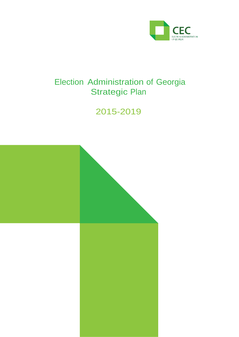

# Election Administration of Georgia Strategic Plan

# 2015-2019

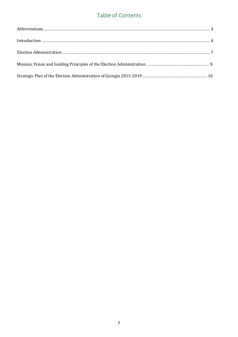### Table of Contents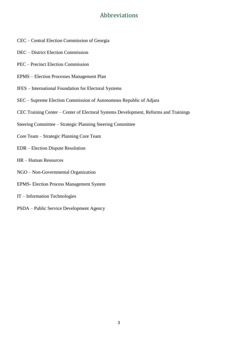### Abbreviations

- CEC Central Election Commission of Georgia
- DEC District Election Commission
- PEC Precinct Election Commission
- EPMS Election Processes Management Plan
- IFES International Foundation for Electoral Systems
- SEC Supreme Election Commission of Autonomous Republic of Adjara
- CEC Training Center Center of Electoral Systems Development, Reforms and Trainings
- Steering Committee Strategic Planning Steering Committee
- Core Team Strategic Planning Core Team
- EDR Election Dispute Resolution
- HR Human Resources
- NGO Non-Governmental Organization
- EPMS- Election Process Management System
- IT Information Technologies
- PSDA Public Service Development Agency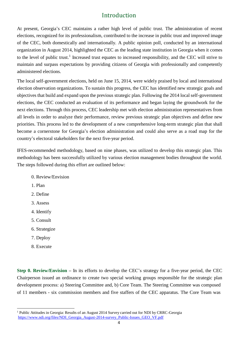### Introduction

At present, Georgia's CEC maintains a rather high level of public trust. The administration of recent elections, recognized for its professionalism, contributed to the increase in public trust and improved image of the CEC, both domestically and internationally. A public opinion poll, conducted by an international organization in August 2014, highlighted the CEC as the leading state institution in Georgia when it comes to the level of public trust.<sup>1</sup> Increased trust equates to increased responsibility, and the CEC will strive to maintain and surpass expectations by providing citizens of Georgia with professionally and competently administered elections.

The local self-government elections, held on June 15, 2014, were widely praised by local and international election observation organizations. To sustain this progress, the CEC has identified new strategic goals and objectives that build and expand upon the previous strategic plan. Following the 2014 local self-government elections, the CEC conducted an evaluation of its performance and began laying the groundwork for the next elections. Through this process, CEC leadership met with election administration representatives from all levels in order to analyze their performance, review previous strategic plan objectives and define new priorities. This process led to the development of a new comprehensive long-term strategic plan that shall become a cornerstone for Georgia's election administration and could also serve as a road map for the country's electoral stakeholders for the next five-year period.

IFES-recommended methodology, based on nine phases, was utilized to develop this strategic plan. This methodology has been successfully utilized by various election management bodies throughout the world. The steps followed during this effort are outlined below:

- 0. Review/Envision
- 1. Plan
- 2. Define
- 3. Assess
- 4. Identify
- 5. Consult
- 6. Strategize
- 7. Deploy
- 8. Execute

**Step 0. Review/Envision –** In its efforts to develop the CEC's strategy for a five-year period, the CEC Chairperson issued an ordinance to create two special working groups responsible for the strategic plan development process: a) Steering Committee and, b) Core Team. The Steering Committee was composed of 11 members - six commission members and five staffers of the CEC apparatus. The Core Team was

<sup>&</sup>lt;sup>1</sup> Public Attitudes in Georgia: Results of an August 2014 Survey carried out for NDI by CRRC-Georgia [https://www.ndi.org/files/NDI\\_Georgia\\_August-2014-survey\\_Public-Issues\\_GEO\\_VF.pdf](https://www.ndi.org/files/NDI_Georgia_August-2014-survey_Public-Issues_GEO_VF.pdf)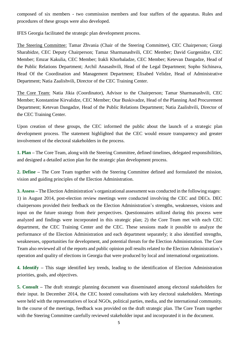composed of six members - two commission members and four staffers of the apparatus. Rules and procedures of these groups were also developed.

IFES Georgia facilitated the strategic plan development process.

The Steering Committee: Tamar Zhvania (Chair of the Steering Committee), CEC Chairperson; Giorgi Sharabidze, CEC Deputy Chairperson; Tamaz Sharmanashvili, CEC Member; David Gurgenidze, CEC Member; Emzar Kakulia, CEC Member; Irakli Khorbaladze, CEC Member; Ketevan Dangadze, Head of the Public Relations Department; Archil Anasashvili, Head of the Legal Department; Sopho Sichinava, Head Of the Coordination and Management Department; Elisabed Velidze, Head of Administrative Department; Natia Zaalishvili, Director of the CEC Training Center.

The Core Team: Natia Jikia (Coordinator), Advisor to the Chairperson; Tamar Sharmanashvili, CEC Member; Konstantine Kirvalidze, CEC Member; Otar Buskivadze, Head of the Planning And Procurement Department; Ketevan Dangadze, Head of the Public Relations Department; Natia Zaalishvili, Director of the CEC Training Center.

Upon creation of these groups, the CEC informed the public about the launch of a strategic plan development process. The statement highlighted that the CEC would ensure transparency and greater involvement of the electoral stakeholders in the process.

**1. Plan –** The Core Team, along with the Steering Committee, defined timelines, delegated responsibilities, and designed a detailed action plan for the strategic plan development process.

**2. Define –** The Core Team together with the Steering Committee defined and formulated the mission, vision and guiding principles of the Election Administration.

**3. Assess –** The Election Administration's organizational assessment was conducted in the following stages: 1) in August 2014, post-election review meetings were conducted involving the CEC and DECs. DEC chairpersons provided their feedback on the Election Administration's strengths, weaknesses, visions and input on the future strategy from their perspectives. Questionnaires utilized during this process were analyzed and findings were incorporated in this strategic plan; 2) the Core Team met with each CEC department, the CEC Training Center and the CEC. These sessions made it possible to analyze the performance of the Election Administration and each department separately; it also identified strengths, weaknesses, opportunities for development, and potential threats for the Election Administration. The Core Team also reviewed all of the reports and public opinion poll results related to the Election Administration's operation and quality of elections in Georgia that were produced by local and international organizations.

**4. Identify –** This stage identified key trends, leading to the identification of Election Administration priorities, goals, and objectives.

**5. Consult –** The draft strategic planning document was disseminated among electoral stakeholders for their input. In December 2014, the CEC hosted consultations with key electoral stakeholders. Meetings were held with the representatives of local NGOs, political parties, media, and the international community. In the course of the meetings, feedback was provided on the draft strategic plan. The Core Team together with the Steering Committee carefully reviewed stakeholder input and incorporated it in the document.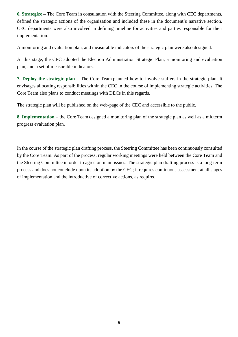**6. Strategize –** The Core Team in consultation with the Steering Committee, along with CEC departments, defined the strategic actions of the organization and included these in the document's narrative section. CEC departments were also involved in defining timeline for activities and parties responsible for their implementation.

A monitoring and evaluation plan, and measurable indicators of the strategic plan were also designed.

At this stage, the CEC adopted the Election Administration Strategic Plan, a monitoring and evaluation plan, and a set of measurable indicators.

**7. Deploy the strategic plan –** The Core Team planned how to involve staffers in the strategic plan. It envisages allocating responsibilities within the CEC in the course of implementing strategic activities. The Core Team also plans to conduct meetings with DECs in this regards.

The strategic plan will be published on the web-page of the CEC and accessible to the public.

**8. Implementation** – the Core Team designed a monitoring plan of the strategic plan as well as a midterm progress evaluation plan.

In the course of the strategic plan drafting process, the Steering Committee has been continuously consulted by the Core Team. As part of the process, regular working meetings were held between the Core Team and the Steering Committee in order to agree on main issues. The strategic plan drafting process is a long-term process and does not conclude upon its adoption by the CEC; it requires continuous assessment at all stages of implementation and the introductive of corrective actions, as required.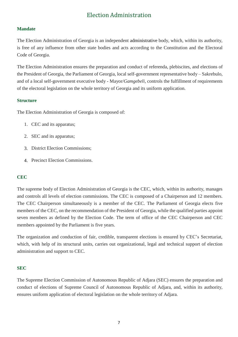### Election Administration

#### **Mandate**

The Election Administration of Georgia is an independent administrative body, which, within its authority, is free of any influence from other state bodies and acts according to the Constitution and the Electoral Code of Georgia.

The Election Administration ensures the preparation and conduct of referenda, plebiscites, and elections of the President of Georgia, the Parliament of Georgia, local self-government representative body – Sakrebulo, and of a local self-government executive body - Mayor/*Gamgebeli*, controls the fulfillment of requirements of the electoral legislation on the whole territory of Georgia and its uniform application.

#### **Structure**

The Election Administration of Georgia is composed of:

- 1. CEC and its apparatus;
- 2. SEC and its apparatus;
- 3. District Election Commissions;
- 4. Precinct Election Commissions.

#### **CEC**

The supreme body of Election Administration of Georgia is the CEC, which, within its authority, manages and controls all levels of election commissions. The CEC is composed of a Chairperson and 12 members. The CEC Chairperson simultaneously is a member of the CEC. The Parliament of Georgia elects five members of the CEC, on the recommendation of the President of Georgia, while the qualified parties appoint seven members as defined by the Election Code. The term of office of the CEC Chairperson and CEC members appointed by the Parliament is five years.

The organization and conduction of fair, credible, transparent elections is ensured by CEC's Secretariat, which, with help of its structural units, carries out organizational, legal and technical support of election administration and support to CEC.

#### **SEC**

The Supreme Election Commission of Autonomous Republic of Adjara (SEC) ensures the preparation and conduct of elections of Supreme Council of Autonomous Republic of Adjara, and, within its authority, ensures uniform application of electoral legislation on the whole territory of Adjara.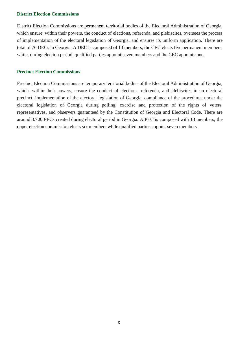#### **District Election Commissions**

District Election Commissions are permanent territorial bodies of the Electoral Administration of Georgia, which ensure, within their powers, the conduct of elections, referenda, and plebiscites, oversees the process of implementation of the electoral legislation of Georgia, and ensures its uniform application. There are total of 76 DECs in Georgia. A DEC is composed of 13 members; the CEC elects five permanent members, while, during election period, qualified parties appoint seven members and the CEC appoints one.

#### **Precinct Election Commissions**

Precinct Election Commissions are temporary territorial bodies of the Electoral Administration of Georgia, which, within their powers, ensure the conduct of elections, referenda, and plebiscites in an electoral precinct, implementation of the electoral legislation of Georgia, compliance of the procedures under the electoral legislation of Georgia during polling, exercise and protection of the rights of voters, representatives, and observers guaranteed by the Constitution of Georgia and Electoral Code. There are around 3.700 PECs created during electoral period in Georgia. A PEC is composed with 13 members; the upper election commission elects six members while qualified parties appoint seven members.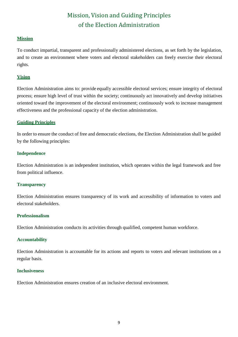## Mission, Vision and Guiding Principles of the Election Administration

#### **Mission**

To conduct impartial, transparent and professionally administered elections, as set forth by the legislation, and to create an environment where voters and electoral stakeholders can freely exercise their electoral rights.

#### **Vision**

Election Administration aims to: provide equally accessible electoral services; ensure integrity of electoral process; ensure high level of trust within the society; continuously act innovatively and develop initiatives oriented toward the improvement of the electoral environment; continuously work to increase management effectiveness and the professional capacity of the election administration.

#### **Guiding Principles**

In order to ensure the conduct of free and democratic elections, the Election Administration shall be guided by the following principles:

#### **Independence**

Election Administration is an independent institution, which operates within the legal framework and free from political influence.

#### **Transparency**

Election Administration ensures transparency of its work and accessibility of information to voters and electoral stakeholders.

#### **Professionalism**

Election Administration conducts its activities through qualified, competent human workforce.

#### **Accountability**

Election Administration is accountable for its actions and reports to voters and relevant institutions on a regular basis.

#### **Inclusiveness**

Election Administration ensures creation of an inclusive electoral environment.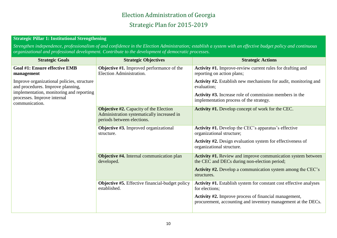## Election Administration of Georgia Strategic Plan for 2015-2019

#### **Strategic Pillar 1: Institutional Strengthening**

*Strengthen independence, professionalism of and confidence in the Election Administration; establish a system with an effective budget policy and continuous organizational and professional development. Contribute to the development of democratic processes.*

| <b>Strategic Goals</b>                                                                    | <b>Strategic Objectives</b>                                                                                               | <b>Strategic Actions</b>                                                                                               |
|-------------------------------------------------------------------------------------------|---------------------------------------------------------------------------------------------------------------------------|------------------------------------------------------------------------------------------------------------------------|
| <b>Goal #1: Ensure effective EMB</b><br>management                                        | <b>Objective #1.</b> Improved performance of the<br>Election Administration.                                              | Activity #1. Improve-review current rules for drafting and<br>reporting on action plans;                               |
| Improve organizational policies, structure<br>and procedures. Improve planning,           |                                                                                                                           | <b>Activity #2.</b> Establish new mechanisms for audit, monitoring and<br>evaluation;                                  |
| implementation, monitoring and reporting<br>processes. Improve internal<br>communication. |                                                                                                                           | <b>Activity #3.</b> Increase role of commission members in the<br>implementation process of the strategy.              |
|                                                                                           | <b>Objective #2.</b> Capacity of the Election<br>Administration systematically increased in<br>periods between elections. | Activity #1. Develop concept of work for the CEC.                                                                      |
|                                                                                           | <b>Objective #3.</b> Improved organizational<br>structure.                                                                | <b>Activity #1.</b> Develop the CEC's apparatus's effective<br>organizational structure;                               |
|                                                                                           |                                                                                                                           | <b>Activity #2.</b> Design evaluation system for effectiveness of<br>organizational structure.                         |
|                                                                                           | <b>Objective #4.</b> Internal communication plan<br>developed.                                                            | <b>Activity #1.</b> Review and improve communication system between<br>the CEC and DECs during non-election period;    |
|                                                                                           |                                                                                                                           | <b>Activity #2.</b> Develop a communication system among the CEC's<br>structures.                                      |
|                                                                                           | <b>Objective #5.</b> Effective financial-budget policy<br>established.                                                    | Activity #1. Establish system for constant cost effective analyses<br>for elections;                                   |
|                                                                                           |                                                                                                                           | Activity #2. Improve process of financial management,<br>procurement, accounting and inventory management at the DECs. |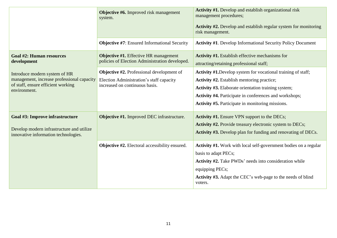|                                                                                                                                   | <b>Objective #6.</b> Improved risk management<br>system.                                                                       | Activity #1. Develop and establish organizational risk<br>management procedures;<br>Activity #2. Develop and establish regular system for monitoring<br>risk management.                                                                                                                              |
|-----------------------------------------------------------------------------------------------------------------------------------|--------------------------------------------------------------------------------------------------------------------------------|-------------------------------------------------------------------------------------------------------------------------------------------------------------------------------------------------------------------------------------------------------------------------------------------------------|
|                                                                                                                                   | <b>Objective #7:</b> Ensured Informational Security                                                                            | <b>Activity #1.</b> Develop Informational Security Policy Document                                                                                                                                                                                                                                    |
| <b>Goal #2: Human resources</b><br>development                                                                                    | <b>Objective #1.</b> Effective HR management<br>policies of Election Administration developed.                                 | <b>Activity #1.</b> Establish effective mechanisms for<br>attracting/retaining professional staff;                                                                                                                                                                                                    |
| Introduce modern system of HR<br>management, increase professional capacity<br>of staff, ensure efficient working<br>environment. | <b>Objective #2.</b> Professional development of<br>Election Administration's staff capacity<br>increased on continuous basis. | <b>Activity #1.</b> Develop system for vocational training of staff;<br><b>Activity #2.</b> Establish mentoring practice;<br>Activity #3. Elaborate orientation training system;<br>Activity #4. Participate in conferences and workshops;<br><b>Activity #5.</b> Participate in monitoring missions. |
| Goal #3: Improve infrastructure<br>Develop modern infrastructure and utilize<br>innovative information technologies.              | Objective #1. Improved DEC infrastructure.                                                                                     | <b>Activity #1.</b> Ensure VPN support to the DECs;<br>Activity #2. Provide treasury electronic system to DECs;<br><b>Activity #3.</b> Develop plan for funding and renovating of DECs.                                                                                                               |
|                                                                                                                                   | <b>Objective #2.</b> Electoral accessibility ensured.                                                                          | Activity #1. Work with local self-government bodies on a regular<br>basis to adapt PECs;<br><b>Activity #2.</b> Take PWDs' needs into consideration while<br>equipping PECs;<br>Activity #3. Adapt the CEC's web-page to the needs of blind<br>voters.                                                |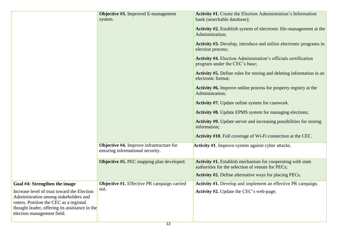|                                                                                                                                                                                                                   | Objective #3. Improved E-management<br>system.                                      | Activity #1. Create the Election Administration's Information<br>bank (searchable database);                            |
|-------------------------------------------------------------------------------------------------------------------------------------------------------------------------------------------------------------------|-------------------------------------------------------------------------------------|-------------------------------------------------------------------------------------------------------------------------|
|                                                                                                                                                                                                                   |                                                                                     | <b>Activity #2.</b> Establish system of electronic file-management at the<br>Administration;                            |
|                                                                                                                                                                                                                   |                                                                                     | Activity #3. Develop, introduce and utilize electronic programs in<br>election process;                                 |
|                                                                                                                                                                                                                   |                                                                                     | <b>Activity #4.</b> Election Administration's officials certification<br>program under the CEC's base;                  |
|                                                                                                                                                                                                                   |                                                                                     | <b>Activity #5.</b> Define rules for storing and deleting information in an<br>electronic format;                       |
|                                                                                                                                                                                                                   |                                                                                     | <b>Activity #6.</b> Improve online process for property registry at the<br>Administration;                              |
|                                                                                                                                                                                                                   |                                                                                     | <b>Activity #7.</b> Update online system for casework.                                                                  |
|                                                                                                                                                                                                                   |                                                                                     | <b>Activity #8.</b> Update EPMS system for managing elections;                                                          |
|                                                                                                                                                                                                                   |                                                                                     | <b>Activity #9.</b> Update server and increasing possibilities for storing<br>information;                              |
|                                                                                                                                                                                                                   |                                                                                     | Activity #10. Full coverage of Wi-Fi connection at the CEC.                                                             |
|                                                                                                                                                                                                                   | <b>Objective #4.</b> Improve infrastructure for<br>ensuring informational security. | <b>Activity #1.</b> Improve system against cyber attacks.                                                               |
|                                                                                                                                                                                                                   | <b>Objective #5. PEC</b> mapping plan developed.                                    | <b>Activity #1.</b> Establish mechanism for cooperating with state<br>authorities for the selection of venues for PECs; |
|                                                                                                                                                                                                                   |                                                                                     | <b>Activity #2.</b> Define alternative ways for placing PECs.                                                           |
| Goal #4: Strengthen the image<br>Increase level of trust toward the Election<br>Administration among stakeholders and<br>voters. Position the CEC as a regional<br>thought leader, offering its assistance in the | <b>Objective #1.</b> Effective PR campaign carried<br>out.                          | Activity #1. Develop and implement an effective PR campaign.<br><b>Activity #2.</b> Update the CEC's web-page;          |
| election management field.                                                                                                                                                                                        |                                                                                     |                                                                                                                         |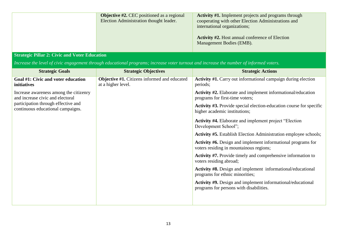| <b>Objective #2.</b> CEC positioned as a regional<br>Election Administration thought leader. | <b>Activity #1.</b> Implement projects and programs through<br>cooperating with other Election Administrations and<br>international organizations; |
|----------------------------------------------------------------------------------------------|----------------------------------------------------------------------------------------------------------------------------------------------------|
|                                                                                              | <b>Activity #2.</b> Host annual conference of Election<br>Management Bodies (EMB).                                                                 |

#### **Strategic Pillar 2: Civic and Voter Education**

*Increase the level of civic engagement through educational programs; increase voter turnout and increase the number of informed voters.*

| <b>Strategic Goals</b>                                                                                                                                 | <b>Strategic Objectives</b>                                        | <b>Strategic Actions</b>                                                                                       |
|--------------------------------------------------------------------------------------------------------------------------------------------------------|--------------------------------------------------------------------|----------------------------------------------------------------------------------------------------------------|
| Goal #1: Civic and voter education<br>initiatives                                                                                                      | Objective #1. Citizens informed and educated<br>at a higher level. | <b>Activity #1.</b> Carry out informational campaign during election<br>periods;                               |
| Increase awareness among the citizenry<br>and increase civic and electoral<br>participation through effective and<br>continuous educational campaigns. |                                                                    | Activity #2. Elaborate and implement informational/education<br>programs for first-time voters;                |
|                                                                                                                                                        |                                                                    | <b>Activity #3.</b> Provide special election-education course for specific<br>higher academic institutions;    |
|                                                                                                                                                        |                                                                    | <b>Activity #4.</b> Elaborate and implement project "Election"<br>Development School";                         |
|                                                                                                                                                        |                                                                    | <b>Activity #5.</b> Establish Election Administration employee schools;                                        |
|                                                                                                                                                        |                                                                    | <b>Activity #6.</b> Design and implement informational programs for<br>voters residing in mountainous regions; |
|                                                                                                                                                        |                                                                    | <b>Activity #7.</b> Provide timely and comprehensive information to<br>voters residing abroad;                 |
|                                                                                                                                                        |                                                                    | Activity #8. Design and implement informational/educational<br>programs for ethnic minorities;                 |
|                                                                                                                                                        |                                                                    | <b>Activity #9.</b> Design and implement informational/educational<br>programs for persons with disabilities.  |
|                                                                                                                                                        |                                                                    |                                                                                                                |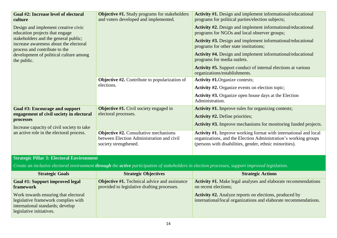| Goal #2: Increase level of electoral<br>culture                                                                                                 | <b>Objective #1.</b> Study programs for stakeholders<br>and voters developed and implemented.                      | Activity #1. Design and implement informational/educational<br>programs for political parties/election subjects;                                                                               |
|-------------------------------------------------------------------------------------------------------------------------------------------------|--------------------------------------------------------------------------------------------------------------------|------------------------------------------------------------------------------------------------------------------------------------------------------------------------------------------------|
| Design and implement creative civic<br>education projects that engage                                                                           |                                                                                                                    | <b>Activity #2.</b> Design and implement informational/educational<br>programs for NGOs and local observer groups;                                                                             |
| stakeholders and the general public;<br>increase awareness about the electoral<br>process and contribute to the                                 |                                                                                                                    | Activity #3. Design and implement informational/educational<br>programs for other state institutions;                                                                                          |
| development of political culture among<br>the public.                                                                                           |                                                                                                                    | <b>Activity #4.</b> Design and implement informational/educational<br>programs for media outlets.                                                                                              |
|                                                                                                                                                 |                                                                                                                    | Activity #5. Support conduct of internal elections at various<br>organizations/establishments.                                                                                                 |
|                                                                                                                                                 | <b>Objective #2.</b> Contribute to popularization of                                                               | <b>Activity #1.</b> Organize contests;                                                                                                                                                         |
|                                                                                                                                                 | elections.                                                                                                         | <b>Activity #2.</b> Organize events on election topic;                                                                                                                                         |
|                                                                                                                                                 |                                                                                                                    | Activity #3. Organize open house days at the Election<br>Administration.                                                                                                                       |
| Goal #3: Encourage and support                                                                                                                  | <b>Objective #1.</b> Civil society engaged in                                                                      | Activity #1. Improve rules for organizing contests;                                                                                                                                            |
| engagement of civil society in electoral                                                                                                        | electoral processes.                                                                                               | <b>Activity #2.</b> Define priorities;                                                                                                                                                         |
| processes<br>Increase capacity of civil society to take                                                                                         |                                                                                                                    | Activity #3. Improve mechanisms for monitoring funded projects.                                                                                                                                |
| an active role in the electoral process.                                                                                                        | <b>Objective #2.</b> Consultative mechanisms<br>between Election Administration and civil<br>society strengthened. | Activity #1. Improve working format with international and local<br>organizations, and the Election Administration's working groups<br>(persons with disabilities, gender, ethnic minorities). |
| <b>Strategic Pillar 3: Electoral Environment</b>                                                                                                |                                                                                                                    |                                                                                                                                                                                                |
| Create an inclusive electoral environment through the active participation of stakeholders in election processes, support improved legislation. |                                                                                                                    |                                                                                                                                                                                                |
| <b>Strategic Goals</b>                                                                                                                          | <b>Strategic Objectives</b>                                                                                        | <b>Strategic Actions</b>                                                                                                                                                                       |

| <b>Strategic Goals</b>                                                                                                                      | <b>Strategic Objectives</b>                                                                         | <b>Strategic Actions</b>                                                                                                          |
|---------------------------------------------------------------------------------------------------------------------------------------------|-----------------------------------------------------------------------------------------------------|-----------------------------------------------------------------------------------------------------------------------------------|
| Goal #1: Support improved legal<br>framework                                                                                                | <b>Objective #1.</b> Technical advice and assistance<br>provided to legislative drafting processes. | Activity #1. Make legal analyses and elaborate recommendations<br>on recent elections;                                            |
| Work towards ensuring that electoral<br>legislative framework complies with<br>international standards; develop<br>legislative initiatives. |                                                                                                     | <b>Activity #2.</b> Analyze reports on elections, produced by<br>international/local organizations and elaborate recommendations. |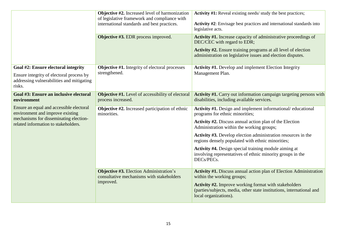|                                                                                                                        | <b>Objective #2.</b> Increased level of harmonization<br>of legislative framework and compliance with<br>international standards and best practices.<br><b>Objective #3. EDR</b> process improved. | Activity #1: Reveal existing needs/ study the best practices;<br>Activity #2: Envisage best practices and international standards into<br>legislative acts.<br>Activity #1. Increase capacity of administrative proceedings of                              |
|------------------------------------------------------------------------------------------------------------------------|----------------------------------------------------------------------------------------------------------------------------------------------------------------------------------------------------|-------------------------------------------------------------------------------------------------------------------------------------------------------------------------------------------------------------------------------------------------------------|
|                                                                                                                        |                                                                                                                                                                                                    | DEC/CEC with regard to EDR;<br>Activity #2. Ensure training programs at all level of election<br>administration on legislative issues and election disputes.                                                                                                |
| Goal #2: Ensure electoral integrity                                                                                    | <b>Objective #1.</b> Integrity of electoral processes<br>strengthened.                                                                                                                             | <b>Activity #1.</b> Develop and implement Election Integrity                                                                                                                                                                                                |
| Ensure integrity of electoral process by<br>addressing vulnerabilities and mitigating<br>risks.                        |                                                                                                                                                                                                    | Management Plan.                                                                                                                                                                                                                                            |
| Goal #3: Ensure an inclusive electoral<br>environment                                                                  | <b>Objective #1.</b> Level of accessibility of electoral<br>process increased.                                                                                                                     | <b>Activity #1.</b> Carry out information campaign targeting persons with<br>disabilities, including available services.                                                                                                                                    |
| Ensure an equal and accessible electoral<br>environment and improve existing<br>mechanisms for disseminating election- | <b>Objective #2.</b> Increased participation of ethnic<br>minorities.                                                                                                                              | Activity #1. Design and implement informational/educational<br>programs for ethnic minorities;                                                                                                                                                              |
| related information to stakeholders.                                                                                   |                                                                                                                                                                                                    | <b>Activity #2.</b> Discuss annual action plan of the Election<br>Administration within the working groups;                                                                                                                                                 |
|                                                                                                                        |                                                                                                                                                                                                    | Activity #3. Develop election administration resources in the<br>regions densely populated with ethnic minorities;                                                                                                                                          |
|                                                                                                                        |                                                                                                                                                                                                    | Activity #4. Design special training module aiming at<br>involving representatives of ethnic minority groups in the<br>DECs/PECs.                                                                                                                           |
|                                                                                                                        | <b>Objective #3.</b> Election Administration's<br>consultative mechanisms with stakeholders<br>improved.                                                                                           | Activity #1. Discuss annual action plan of Election Administration<br>within the working groups;<br>Activity #2. Improve working format with stakeholders<br>(parties/subjects, media, other state institutions, international and<br>local organizations). |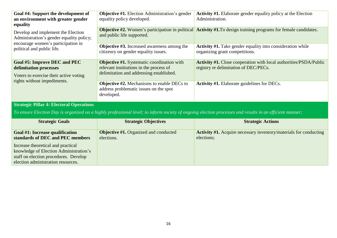| Goal #4: Support the development of<br>an environment with greater gender<br>equality                                | <b>Objective #1.</b> Election Administration's gender<br>equality policy developed.                                                      | Activity #1. Elaborate gender equality policy at the Election<br>Administration.                                               |
|----------------------------------------------------------------------------------------------------------------------|------------------------------------------------------------------------------------------------------------------------------------------|--------------------------------------------------------------------------------------------------------------------------------|
| Develop and implement the Election<br>Administration's gender equality policy;<br>encourage women's participation in | and public life supported.                                                                                                               | <b>Objective #2.</b> Women's participation in political <b>Activity #1.</b> To design training programs for female candidates. |
| political and public life.                                                                                           | <b>Objective #3.</b> Increased awareness among the<br>citizenry on gender equality issues.                                               | <b>Activity #1.</b> Take gender equality into consideration while<br>organizing grant competitions.                            |
| Goal #5: Improve DEC and PEC<br>delimitation processes<br>Voters to exercise their active voting                     | <b>Objective #1.</b> Systematic coordination with<br>relevant institutions in the process of<br>delimitation and addressing established. | Activity #1. Close cooperation with local authorities/PSDA/Public<br>registry re delimitation of DEC/PECs.                     |
| rights without impediments.<br>$\Gamma$ Strategia Dillar 4. Flectoral Operations                                     | <b>Objective #2.</b> Mechanisms to enable DECs to<br>address problematic issues on the spot<br>developed.                                | <b>Activity #1.</b> Elaborate guidelines for DECs.                                                                             |

#### **Strategic Pillar 4: Electoral Operations**

*To ensure Election Day is organized on a highly professional level; to inform society of ongoing election processes and results in an efficient manner;*

| <b>Strategic Goals</b>                                                                                                                                      | <b>Strategic Objectives</b>                                | <b>Strategic Actions</b>                                                               |
|-------------------------------------------------------------------------------------------------------------------------------------------------------------|------------------------------------------------------------|----------------------------------------------------------------------------------------|
| Goal #1: Increase qualification<br>standards of DEC and PEC members                                                                                         | <b>Objective #1.</b> Organized and conducted<br>elections. | <b>Activity #1.</b> Acquire necessary inventory/materials for conducting<br>elections; |
| Increase theoretical and practical<br>knowledge of Election Administration's<br>staff on election procedures. Develop<br>election administration resources. |                                                            |                                                                                        |